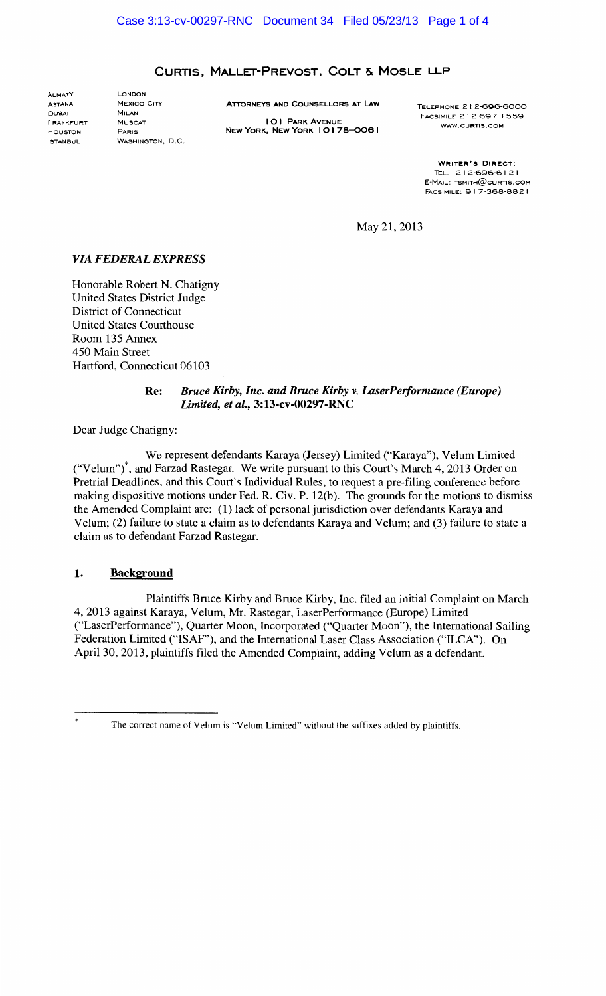# CURTIS, MALLET-PREVOST, COLT & MOSLE LLP

ALMATY ASTANA DUBAI FRANKFURT HOUSTON ISTANBUL

LONDON MEXICO CITY MILAN MUSCAT PARIS WASHINGTON, D.C.

ATTORNEYS AND COUNSELLORS AT lAW **IOI PARK AVENUE** NEW YORK, NEW YORK I 0 I 78-006 I

TELEPHONE 2 I 2-696-6000 FACSIMILE 2 I 2-697-1 559 WWW.CURTIS.COM

WRITER'S DIRECT: TEL.: 2 I 2-696-6 I 2 I E-MAIL: TSMITH@CURTIS.COM FACSIMILE: 9 I 7-368-882 I

May 21, 2013

## *VIA FEDERAL EXPRESS*

Honorable Robert N. Chatigny United States District Judge District of Connecticut United States Courthouse Room 135 Annex 450 Main Street Hartford, Connecticut 06103

## Re: *Bruce Kirby, Inc. and Bruce Kirby v. LaserPerformance (Europe) Limited, et al.,* 3:13-cv-00297-RNC

Dear Judge Chatigny:

We represent defendants Karaya (Jersey) Limited ("Karaya"), Velum Limited ("Velum")\*, and Farzad Rastegar. We write pursuant to this Court's March 4, 2013 Order on Pretrial Deadlines, and this Court's Individual Rules, to request a pre-filing conference before making dispositive motions under Fed. R. Civ. P. 12(b). The grounds for the motions to dismiss the Amended Complaint are: ( 1) lack of personal jurisdiction over defendants Karaya and Velum; (2) failure to state a claim as to defendants Karaya and Velum; and (3) failure to state a claim as to defendant Farzad Rastegar.

#### 1. Background

Plaintiffs Bruce Kirby and Bruce Kirby, Inc. filed an initial Complaint on March 4, 2013 against Karaya, Velum, Mr. Rastegar, LaserPerformance (Europe) Limited ("LaserPerformance"), Quarter Moon, Incorporated ("Quarter Moon"), the International Sailing Federation Limited ("ISAF"), and the International Laser Class Association ("ILCA"). On April30, 2013, plaintiffs filed the Amended Complaint, adding Velum as a defendant.

 $\ast$ 

The correct name of Velum is "Velum Limited" without the suffixes added by plaintiffs.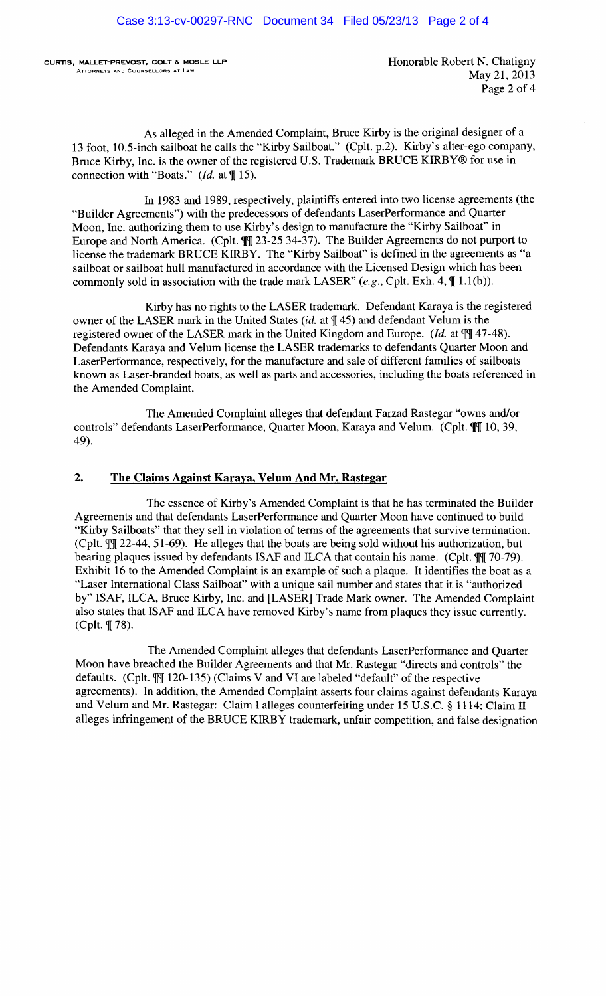CURTIS, MALLET-PREVOST, COLT & MOSLE LLP **ATTORNEYS AND COUNSELLORS AT LAW** 

As alleged in the Amended Complaint, Bruce Kirby is the original designer of a 13 foot, 10.5-inch sailboat he calls the "Kirby Sailboat." (Cplt. p.2). Kirby's alter-ego company, Bruce Kirby, Inc. is the owner of the registered U.S. Trademark BRUCE KIRBY® for use in connection with "Boats." (*Id.* at  $\P$  15).

In 1983 and 1989, respectively, plaintiffs entered into two license agreements (the "Builder Agreements") with the predecessors of defendants LaserPerformance and Quarter Moon, Inc. authorizing them to use Kirby's design to manufacture the "Kirby Sailboat" in Europe and North America. (Cplt.  $\mathbb{II}$  23-25 34-37). The Builder Agreements do not purport to license the trademark BRUCE KIRBY. The "Kirby Sailboat" is defined in the agreements as "a sailboat or sailboat hull manufactured in accordance with the Licensed Design which has been commonly sold in association with the trade mark LASER" (e.g., Cplt. Exh. 4,  $\P$  1.1(b)).

Kirby has no rights to the LASER trademark. Defendant Karaya is the registered owner of the LASER mark in the United States (id. at  $\P$  45) and defendant Velum is the registered owner of the LASER mark in the United Kingdom and Europe. (Id. at  $\mathbb{M}$  47-48). Defendants Karaya and Velum license the LASER trademarks to defendants Quarter Moon and LaserPerformance, respectively, for the manufacture and sale of different families of sailboats known as Laser-branded boats, as well as parts and accessories, including the boats referenced in the Amended Complaint.

The Amended Complaint alleges that defendant Farzad Rastegar "owns and/or controls" defendants LaserPerformance, Quarter Moon, Karaya and Velum. (Cplt.  $\mathbb{I}$  10, 39, 49).

#### **2. The Claims Against Karaya, Velum And Mr. Rastegar**

The essence of Kirby's Amended Complaint is that he has terminated the Builder Agreements and that defendants LaserPerformance and Quarter Moon have continued to build "Kirby Sailboats" that they sell in violation of terms of the agreements that survive termination. (Cplt.  $\mathbb{I}$  22-44, 51-69). He alleges that the boats are being sold without his authorization, but bearing plaques issued by defendants ISAF and ILCA that contain his name. (Cplt.  $\mathbb{I}$  70-79). Exhibit 16 to the Amended Complaint is an example of such a plaque. It identifies the boat as a "Laser International Class Sailboat" with a unique sail number and states that it is "authorized by" ISAF, ILCA, Bruce Kirby, Inc. and [LASER] Trade Mark owner. The Amended Complaint also states that ISAF and ILCA have removed Kirby's name from plaques they issue currently. (Cplt. ¶ 78).

The Amended Complaint alleges that defendants LaserPerformance and Quarter Moon have breached the Builder Agreements and that Mr. Rastegar "directs and controls" the defaults. (Cplt.  $\mathbb{I}$ [ 120-135) (Claims V and VI are labeled "default" of the respective agreements). In addition, the Amended Complaint asserts four claims against defendants Karaya and Velum and Mr. Rastegar: Claim I alleges counterfeiting under 15 U.S.C. § 1114; Claim II alleges infringement of the BRUCE KIRBY trademark, unfair competition, and false designation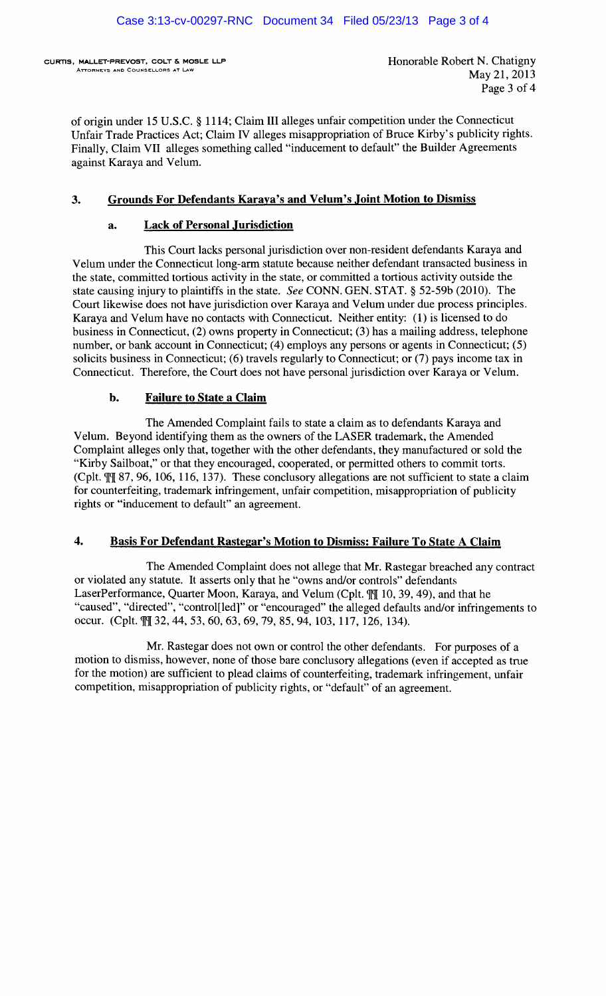CURTIS, MALLET-PREVOST, COLT & MOSLE LLP ATTORNEYS AND COUNSELLORS AT LAW

of origin under 15 U.S.C. § 1114; Claim III alleges unfair competition under the Connecticut Unfair Trade Practices Act; Claim IV alleges misappropriation of Bruce Kirby's publicity rights. Finally, Claim VII alleges something called "inducement to default" the Builder Agreements against Karaya and Velum.

# 3. Grounds For Defendants Karaya's and Velum's Joint Motion to Dismiss

# a. Lack of Personal Jurisdiction

This Court lacks personal jurisdiction over non-resident defendants Karaya and Velum under the Connecticut long-arm statute because neither defendant transacted business in the state, committed tortious activity in the state, or committed a tortious activity outside the state causing injury to plaintiffs in the state. *See* CONN. GEN. STAT.§ 52-59b (2010). The Court likewise does not have jurisdiction over Karaya and Velum under due process principles. Karaya and Velum have no contacts with Connecticut. Neither entity: (1) is licensed to do business in Connecticut, (2) owns property in Connecticut; (3) has a mailing address, telephone number, or bank account in Connecticut; (4) employs any persons or agents in Connecticut; (5) solicits business in Connecticut; (6) travels regularly to Connecticut; or (7) pays income tax in Connecticut. Therefore, the Court does not have personal jurisdiction over Karaya or Velum.

# b. Failure to State a Claim

The Amended Complaint fails to state a claim as to defendants Karaya and Velum. Beyond identifying them as the owners of the LASER trademark, the Amended Complaint alleges only that, together with the other defendants, they manufactured or sold the "Kirby Sailboat," or that they encouraged, cooperated, or permitted others to commit torts. (Cplt.  $\mathbb{I}$  87, 96, 106, 116, 137). These conclusory allegations are not sufficient to state a claim for counterfeiting, trademark infringement, unfair competition, misappropriation of publicity rights or "inducement to default" an agreement.

## 4. Basis For Defendant Rastegar's Motion to Dismiss: Failure To State A Claim

The Amended Complaint does not allege that Mr. Rastegar breached any contract or violated any statute. It asserts only that he "owns and/or controls" defendants LaserPerformance, Quarter Moon, Karaya, and Velum (Cplt.  $\P$ [ 10, 39, 49), and that he "caused", "directed", "control[led]" or "encouraged" the alleged defaults and/or infringements to occur. (Cplt.  $III$  32, 44, 53, 60, 63, 69, 79, 85, 94, 103, 117, 126, 134).

Mr. Rastegar does not own or control the other defendants. For purposes of a motion to dismiss, however, none of those bare conclusory allegations (even if accepted as true for the motion) are sufficient to plead claims of counterfeiting, trademark infringement, unfair competition, misappropriation of publicity rights, or "default" of an agreement.